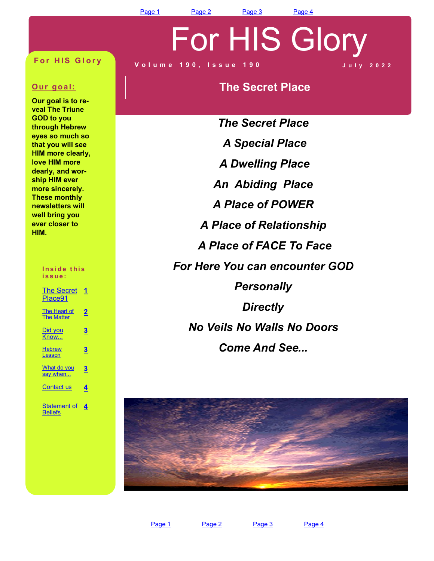[Page 1](#page-0-0) [Page 2](#page-1-0) [Page 3](#page-2-0) [Page 4](#page-3-0)

For HIS Glory

#### <span id="page-0-0"></span>**For HIS Glory**

#### **Our goal:**

**Our goal is to reveal The Triune GOD to you through Hebrew eyes so much so that you will see HIM more clearly, love HIM more dearly, and worship HIM ever more sincerely. These monthly newsletters will well bring you ever closer to HIM.**

#### Inside this **i s s u e :**

| <b>The Secret</b><br>Place91          | 1         |
|---------------------------------------|-----------|
| The Heart of<br><b>The Matter</b>     | <u> 2</u> |
| Did you<br>Know                       | 3         |
| <b>Hebrew</b><br>Lesson               | 3         |
| What do you<br>say when               | 3         |
| <b>Contact us</b>                     | 4         |
| <b>Statement of</b><br><b>Beliefs</b> | 4         |

#### **V o l u m e 1 9 0 , I s s u e 1 9 0 J u l y 2 0 2 2**

## **The Secret Place**

*The Secret Place A Special Place A Dwelling Place An Abiding Place A Place of POWER A Place of Relationship A Place of FACE To Face For Here You can encounter GOD Personally Directly No Veils No Walls No Doors Come And See...*

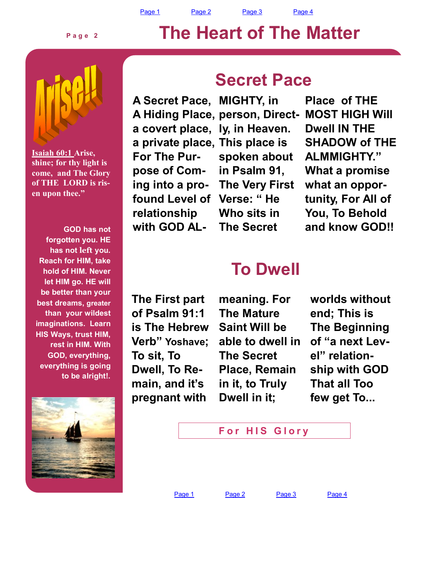[Page 1](#page-0-0) [Page 2](#page-1-0) [Page 3](#page-2-0) [Page 4](#page-3-0)

# **The Heart of The Matter**

<span id="page-1-0"></span>

**P a g e 2**

**Isaiah 60:1 Arise, shine; for thy light is come, and The Glory of THE LORD is risen upon thee."**

**GOD has not forgotten you. HE has not left you. Reach for HIM, take hold of HIM. Never let HIM go. HE will be better than your best dreams, greater than your wildest imaginations. Learn HIS Ways, trust HIM, rest in HIM. With GOD, everything, everything is going to be alright!.**



## **Secret Pace**

**A Secret Pace, MIGHTY, in A Hiding Place, person, Directa covert place, ly, in Heaven. a private place, This place is For The Purpose of Coming into a profound Level of Verse: " He relationship with GOD AL-**

**spoken about in Psalm 91, The Very First Who sits in The Secret** 

**Place of THE MOST HIGH Will Dwell IN THE SHADOW of THE ALMMIGHTY." What a promise what an opportunity, For All of You, To Behold and know GOD!!**

## **To Dwell**

**The First part of Psalm 91:1 is The Hebrew Verb" Yoshave; To sit, To Dwell, To Remain, and it's pregnant with** 

**meaning. For The Mature Saint Will be able to dwell in The Secret Place, Remain in it, to Truly Dwell in it;** 

**worlds without end; This is The Beginning of "a next Level" relationship with GOD That all Too few get To...** 



[Page 1](#page-0-0) [Page 2](#page-1-0) [Page 3](#page-2-0) [Page 4](#page-3-0)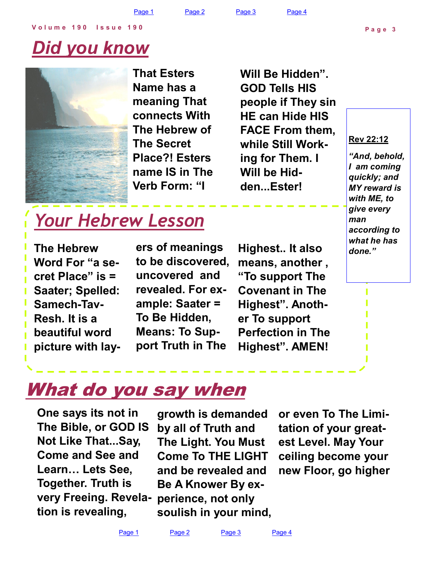# <span id="page-2-0"></span>*Did you know*



**That Esters Name has a meaning That connects With The Hebrew of The Secret Place?! Esters name IS in The Verb Form: "I** 

**Will Be Hidden". GOD Tells HIS people if They sin HE can Hide HIS FACE From them, while Still Working for Them. I Will be Hidden...Ester!**

#### **Rev 22:12**

*"And, behold, I am coming quickly; and MY reward is with ME, to give every man according to what he has done."*

# *Your Hebrew Lesson*

**The Hebrew Word For "a secret Place" is = Saater; Spelled: Samech-Tav-Resh. It is a beautiful word picture with lay-** **ers of meanings to be discovered, uncovered and revealed. For example: Saater = To Be Hidden, Means: To Support Truth in The** 

**Highest.. It also means, another , "To support The Covenant in The Highest". Another To support Perfection in The Highest". AMEN!**

# What do you say when

**One says its not in The Bible, or GOD IS Not Like That...Say, Come and See and Learn… Lets See, Together. Truth is very Freeing. Revelation is revealing,** 

**growth is demanded by all of Truth and The Light. You Must Come To THE LIGHT and be revealed and Be A Knower By experience, not only soulish in your mind,** 

**or even To The Limitation of your greatest Level. May Your ceiling become your new Floor, go higher**

[Page 1](#page-0-0) [Page 2](#page-1-0) [Page 3](#page-2-0) [Page 4](#page-3-0)